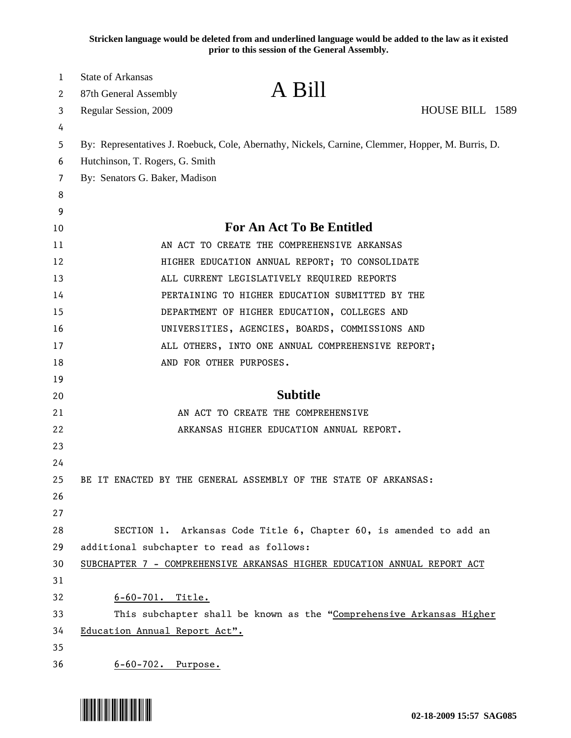**Stricken language would be deleted from and underlined language would be added to the law as it existed prior to this session of the General Assembly.**

| 1  | <b>State of Arkansas</b>                  |                                                                                                   |                 |  |
|----|-------------------------------------------|---------------------------------------------------------------------------------------------------|-----------------|--|
| 2  | 87th General Assembly                     | A Bill                                                                                            |                 |  |
| 3  | Regular Session, 2009                     |                                                                                                   | HOUSE BILL 1589 |  |
| 4  |                                           |                                                                                                   |                 |  |
| 5  |                                           | By: Representatives J. Roebuck, Cole, Abernathy, Nickels, Carnine, Clemmer, Hopper, M. Burris, D. |                 |  |
| 6  | Hutchinson, T. Rogers, G. Smith           |                                                                                                   |                 |  |
| 7  | By: Senators G. Baker, Madison            |                                                                                                   |                 |  |
| 8  |                                           |                                                                                                   |                 |  |
| 9  |                                           |                                                                                                   |                 |  |
| 10 |                                           | <b>For An Act To Be Entitled</b>                                                                  |                 |  |
| 11 |                                           | AN ACT TO CREATE THE COMPREHENSIVE ARKANSAS                                                       |                 |  |
| 12 |                                           | HIGHER EDUCATION ANNUAL REPORT; TO CONSOLIDATE                                                    |                 |  |
| 13 |                                           | ALL CURRENT LEGISLATIVELY REQUIRED REPORTS                                                        |                 |  |
| 14 |                                           | PERTAINING TO HIGHER EDUCATION SUBMITTED BY THE                                                   |                 |  |
| 15 |                                           | DEPARTMENT OF HIGHER EDUCATION, COLLEGES AND                                                      |                 |  |
| 16 |                                           | UNIVERSITIES, AGENCIES, BOARDS, COMMISSIONS AND                                                   |                 |  |
| 17 |                                           | ALL OTHERS, INTO ONE ANNUAL COMPREHENSIVE REPORT;                                                 |                 |  |
| 18 |                                           | AND FOR OTHER PURPOSES.                                                                           |                 |  |
| 19 |                                           |                                                                                                   |                 |  |
| 20 |                                           | <b>Subtitle</b>                                                                                   |                 |  |
| 21 |                                           | AN ACT TO CREATE THE COMPREHENSIVE                                                                |                 |  |
| 22 |                                           | ARKANSAS HIGHER EDUCATION ANNUAL REPORT.                                                          |                 |  |
| 23 |                                           |                                                                                                   |                 |  |
| 24 |                                           |                                                                                                   |                 |  |
| 25 |                                           | BE IT ENACTED BY THE GENERAL ASSEMBLY OF THE STATE OF ARKANSAS:                                   |                 |  |
| 26 |                                           |                                                                                                   |                 |  |
| 27 |                                           |                                                                                                   |                 |  |
| 28 |                                           | SECTION 1. Arkansas Code Title 6, Chapter 60, is amended to add an                                |                 |  |
| 29 | additional subchapter to read as follows: |                                                                                                   |                 |  |
| 30 |                                           | SUBCHAPTER 7 - COMPREHENSIVE ARKANSAS HIGHER EDUCATION ANNUAL REPORT ACT                          |                 |  |
| 31 |                                           |                                                                                                   |                 |  |
| 32 | $6 - 60 - 701$ . Title.                   |                                                                                                   |                 |  |
| 33 |                                           | This subchapter shall be known as the "Comprehensive Arkansas Higher                              |                 |  |
| 34 | Education Annual Report Act".             |                                                                                                   |                 |  |
| 35 |                                           |                                                                                                   |                 |  |
| 36 | 6-60-702. Purpose.                        |                                                                                                   |                 |  |

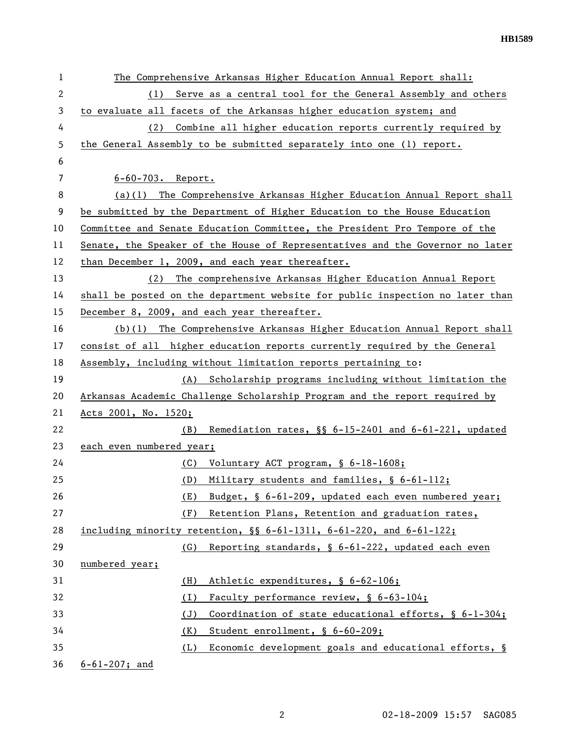**HB1589** 

| 1            | The Comprehensive Arkansas Higher Education Annual Report shall:              |
|--------------|-------------------------------------------------------------------------------|
| $\mathbf{2}$ | Serve as a central tool for the General Assembly and others<br>(1)            |
| 3            | to evaluate all facets of the Arkansas higher education system; and           |
| 4            | (2) Combine all higher education reports currently required by                |
| 5            | the General Assembly to be submitted separately into one (1) report.          |
| 6            |                                                                               |
| 7            | $6 - 60 - 703$ . Report.                                                      |
| 8            | (a)(1) The Comprehensive Arkansas Higher Education Annual Report shall        |
| 9            | be submitted by the Department of Higher Education to the House Education     |
| 10           | Committee and Senate Education Committee, the President Pro Tempore of the    |
| 11           | Senate, the Speaker of the House of Representatives and the Governor no later |
| 12           | than December 1, 2009, and each year thereafter.                              |
| 13           | (2) The comprehensive Arkansas Higher Education Annual Report                 |
| 14           | shall be posted on the department website for public inspection no later than |
| 15           | December 8, 2009, and each year thereafter.                                   |
| 16           | $(b)(1)$ The Comprehensive Arkansas Higher Education Annual Report shall      |
| 17           | consist of all higher education reports currently required by the General     |
| 18           | Assembly, including without limitation reports pertaining to:                 |
| 19           | (A) Scholarship programs including without limitation the                     |
| 20           | Arkansas Academic Challenge Scholarship Program and the report required by    |
| 21           | Acts 2001, No. 1520;                                                          |
| 22           | Remediation rates, §§ 6-15-2401 and 6-61-221, updated<br>(B)                  |
| 23           | each even numbered year;                                                      |
| 24           | Voluntary ACT program, § 6-18-1608;<br>(C)                                    |
| 25           | Military students and families, § 6-61-112;<br>(D)                            |
| 26           | Budget, § 6-61-209, updated each even numbered year;<br>(E)                   |
| 27           | (F)<br>Retention Plans, Retention and graduation rates,                       |
| 28           | including minority retention, $\S$ 6-61-1311, 6-61-220, and 6-61-122;         |
| 29           | (G)<br>Reporting standards, § 6-61-222, updated each even                     |
| 30           | numbered year;                                                                |
| 31           | Athletic expenditures, § 6-62-106;<br>(H)                                     |
| 32           | Faculty performance review, § 6-63-104;<br>(I)                                |
| 33           | Coordination of state educational efforts, § 6-1-304;<br>(J)                  |
| 34           | (K)<br>Student enrollment, § 6-60-209;                                        |
| 35           | Economic development goals and educational efforts, §<br>(L)                  |
| 36           | $6 - 61 - 207$ ; and                                                          |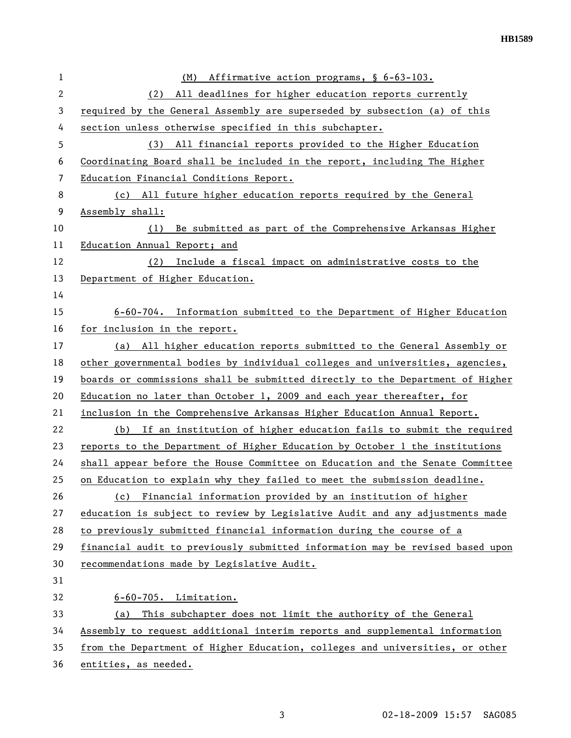| 1            | Affirmative action programs, § 6-63-103.<br>(M)                               |
|--------------|-------------------------------------------------------------------------------|
| $\mathbf{2}$ | All deadlines for higher education reports currently<br>(2)                   |
| 3            | required by the General Assembly are superseded by subsection (a) of this     |
| 4            | section unless otherwise specified in this subchapter.                        |
| 5            | (3) All financial reports provided to the Higher Education                    |
| 6            | Coordinating Board shall be included in the report, including The Higher      |
| 7            | Education Financial Conditions Report.                                        |
| 8            | (c) All future higher education reports required by the General               |
| 9            | Assembly shall:                                                               |
| 10           | Be submitted as part of the Comprehensive Arkansas Higher<br>(1)              |
| 11           | Education Annual Report; and                                                  |
| 12           | Include a fiscal impact on administrative costs to the<br>(2)                 |
| 13           | Department of Higher Education.                                               |
| 14           |                                                                               |
| 15           | 6-60-704. Information submitted to the Department of Higher Education         |
| 16           | for inclusion in the report.                                                  |
| 17           | All higher education reports submitted to the General Assembly or<br>(a)      |
| 18           | other governmental bodies by individual colleges and universities, agencies,  |
| 19           | boards or commissions shall be submitted directly to the Department of Higher |
| 20           | Education no later than October 1, 2009 and each year thereafter, for         |
| 21           | inclusion in the Comprehensive Arkansas Higher Education Annual Report.       |
| 22           | If an institution of higher education fails to submit the required<br>(b)     |
| 23           | reports to the Department of Higher Education by October 1 the institutions   |
| 24           | shall appear before the House Committee on Education and the Senate Committee |
| 25           | on Education to explain why they failed to meet the submission deadline.      |
| 26           | (c) Financial information provided by an institution of higher                |
| 27           | education is subject to review by Legislative Audit and any adjustments made  |
| 28           | to previously submitted financial information during the course of a          |
| 29           | financial audit to previously submitted information may be revised based upon |
| 30           | recommendations made by Legislative Audit.                                    |
| 31           |                                                                               |
| 32           | $6-60-705$ . Limitation.                                                      |
| 33           | This subchapter does not limit the authority of the General<br>(a)            |
| 34           | Assembly to request additional interim reports and supplemental information   |
| 35           | from the Department of Higher Education, colleges and universities, or other  |
| 36           | entities, as needed.                                                          |